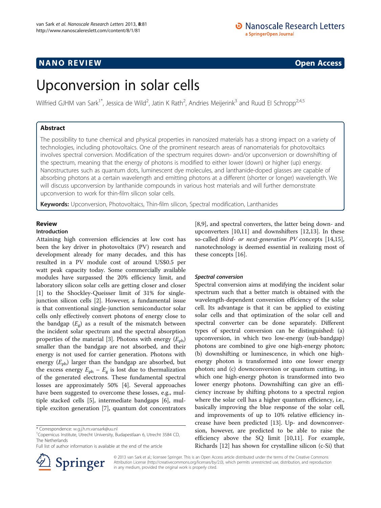# NAN O R EVI EW OPEN ACCESS OF THE EW OPEN ACCESS OF THE EWO CARD TO A REPORT OF THE EXTENSION OF THE EXTENSION

# Upconversion in solar cells

Wilfried GJHM van Sark<sup>1\*</sup>, Jessica de Wild<sup>2</sup>, Jatin K Rath<sup>2</sup>, Andries Meijerink<sup>3</sup> and Ruud EI Schropp<sup>2,4,5</sup>

The possibility to tune chemical and physical properties in nanosized materials has a strong impact on a variety of technologies, including photovoltaics. One of the prominent research areas of nanomaterials for photovoltaics involves spectral conversion. Modification of the spectrum requires down- and/or upconversion or downshifting of the spectrum, meaning that the energy of photons is modified to either lower (down) or higher (up) energy. Nanostructures such as quantum dots, luminescent dye molecules, and lanthanide-doped glasses are capable of absorbing photons at a certain wavelength and emitting photons at a different (shorter or longer) wavelength. We will discuss upconversion by lanthanide compounds in various host materials and will further demonstrate upconversion to work for thin-film silicon solar cells.

Keywords: Upconversion, Photovoltaics, Thin-film silicon, Spectral modification, Lanthanides

## **Review**

# Introduction

Attaining high conversion efficiencies at low cost has been the key driver in photovoltaics (PV) research and development already for many decades, and this has resulted in a PV module cost of around US\$0.5 per watt peak capacity today. Some commercially available modules have surpassed the 20% efficiency limit, and laboratory silicon solar cells are getting closer and closer [[1\]](#page-8-0) to the Shockley-Queisser limit of 31% for singlejunction silicon cells [\[2](#page-8-0)]. However, a fundamental issue is that conventional single-junction semiconductor solar cells only effectively convert photons of energy close to the bandgap  $(E_{g})$  as a result of the mismatch between the incident solar spectrum and the spectral absorption properties of the material [[3\]](#page-8-0). Photons with energy  $(E_{\text{ph}})$ smaller than the bandgap are not absorbed, and their energy is not used for carrier generation. Photons with energy  $(E_{ph})$  larger than the bandgap are absorbed, but the excess energy  $E_{\rm ph} - E_{\rm g}$  is lost due to thermalization of the generated electrons. These fundamental spectral losses are approximately 50% [[4\]](#page-8-0). Several approaches have been suggested to overcome these losses, e.g., multiple stacked cells [\[5](#page-8-0)], intermediate bandgaps [\[6](#page-8-0)], multiple exciton generation [\[7](#page-8-0)], quantum dot concentrators

Full list of author information is available at the end of the article



[[8,9\]](#page-8-0), and spectral converters, the latter being down- and upconverters [\[10,11\]](#page-8-0) and downshifters [\[12,13](#page-8-0)]. In these so-called third- or next-generation PV concepts [\[14,15](#page-8-0)], nanotechnology is deemed essential in realizing most of these concepts [[16\]](#page-8-0).

#### Spectral conversion

Spectral conversion aims at modifying the incident solar spectrum such that a better match is obtained with the wavelength-dependent conversion efficiency of the solar cell. Its advantage is that it can be applied to existing solar cells and that optimization of the solar cell and spectral converter can be done separately. Different types of spectral conversion can be distinguished: (a) upconversion, in which two low-energy (sub-bandgap) photons are combined to give one high-energy photon; (b) downshifting or luminescence, in which one highenergy photon is transformed into one lower energy photon; and (c) downconversion or quantum cutting, in which one high-energy photon is transformed into two lower energy photons. Downshifting can give an efficiency increase by shifting photons to a spectral region where the solar cell has a higher quantum efficiency, i.e., basically improving the blue response of the solar cell, and improvements of up to 10% relative efficiency increase have been predicted [\[13](#page-8-0)]. Up- and downconversion, however, are predicted to be able to raise the efficiency above the SQ limit [[10,11\]](#page-8-0). For example, Richards [\[12](#page-8-0)] has shown for crystalline silicon (c-Si) that

© 2013 van Sark et al.; licensee Springer. This is an Open Access article distributed under the terms of the Creative Commons Attribution License [\(http://creativecommons.org/licenses/by/2.0\)](http://creativecommons.org/licenses/by/2.0), which permits unrestricted use, distribution, and reproduction in any medium, provided the original work is properly cited.

<sup>\*</sup> Correspondence: [w.g.j.h.m.vansark@uu.nl](mailto:w.g.j.h.m.vansark@uu.nl) <sup>1</sup>

<sup>&</sup>lt;sup>1</sup>Copernicus Institute, Utrecht University, Budapestlaan 6, Utrecht 3584 CD, The Netherlands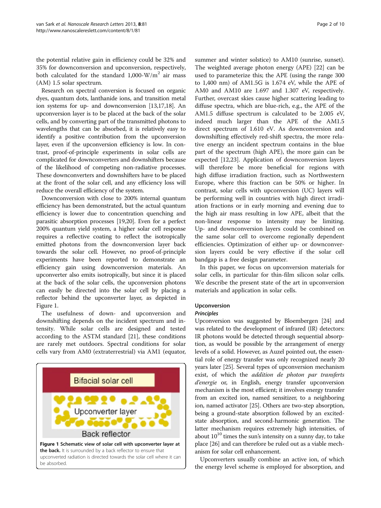the potential relative gain in efficiency could be 32% and 35% for downconversion and upconversion, respectively, both calculated for the standard 1,000-W/ $m^2$  air mass (AM) 1.5 solar spectrum.

Research on spectral conversion is focused on organic dyes, quantum dots, lanthanide ions, and transition metal ion systems for up- and downconversion [[13,17,18\]](#page-8-0). An upconversion layer is to be placed at the back of the solar cells, and by converting part of the transmitted photons to wavelengths that can be absorbed, it is relatively easy to identify a positive contribution from the upconversion layer, even if the upconversion efficiency is low. In contrast, proof-of-principle experiments in solar cells are complicated for downconverters and downshifters because of the likelihood of competing non-radiative processes. These downconverters and downshifters have to be placed at the front of the solar cell, and any efficiency loss will reduce the overall efficiency of the system.

Downconversion with close to 200% internal quantum efficiency has been demonstrated, but the actual quantum efficiency is lower due to concentration quenching and parasitic absorption processes [\[19,20\]](#page-8-0). Even for a perfect 200% quantum yield system, a higher solar cell response requires a reflective coating to reflect the isotropically emitted photons from the downconversion layer back towards the solar cell. However, no proof-of-principle experiments have been reported to demonstrate an efficiency gain using downconversion materials. An upconverter also emits isotropically, but since it is placed at the back of the solar cells, the upconversion photons can easily be directed into the solar cell by placing a reflector behind the upconverter layer, as depicted in Figure 1.

The usefulness of down- and upconversion and downshifting depends on the incident spectrum and intensity. While solar cells are designed and tested according to the ASTM standard [[21](#page-8-0)], these conditions are rarely met outdoors. Spectral conditions for solar cells vary from AM0 (extraterrestrial) via AM1 (equator,



summer and winter solstice) to AM10 (sunrise, sunset). The weighted average photon energy (APE) [\[22](#page-8-0)] can be used to parameterize this; the APE (using the range 300 to 1,400 nm) of AM1.5G is 1.674 eV, while the APE of AM0 and AM10 are 1.697 and 1.307 eV, respectively. Further, overcast skies cause higher scattering leading to diffuse spectra, which are blue-rich, e.g., the APE of the AM1.5 diffuse spectrum is calculated to be 2.005 eV, indeed much larger than the APE of the AM1.5 direct spectrum of 1.610 eV. As downconversion and downshifting effectively red-shift spectra, the more relative energy an incident spectrum contains in the blue part of the spectrum (high APE), the more gain can be expected [\[12,23](#page-8-0)]. Application of downconversion layers will therefore be more beneficial for regions with high diffuse irradiation fraction, such as Northwestern Europe, where this fraction can be 50% or higher. In contrast, solar cells with upconversion (UC) layers will be performing well in countries with high direct irradiation fractions or in early morning and evening due to the high air mass resulting in low APE, albeit that the non-linear response to intensity may be limiting. Up- and downconversion layers could be combined on the same solar cell to overcome regionally dependent efficiencies. Optimization of either up- or downconversion layers could be very effective if the solar cell bandgap is a free design parameter.

In this paper, we focus on upconversion materials for solar cells, in particular for thin-film silicon solar cells. We describe the present state of the art in upconversion materials and application in solar cells.

## Upconversion

### Principles

Upconversion was suggested by Bloembergen [[24](#page-8-0)] and was related to the development of infrared (IR) detectors: IR photons would be detected through sequential absorption, as would be possible by the arrangement of energy levels of a solid. However, as Auzel pointed out, the essential role of energy transfer was only recognized nearly 20 years later [[25\]](#page-8-0). Several types of upconversion mechanism exist, of which the *addition de photon par transferts* d'energie or, in English, energy transfer upconversion mechanism is the most efficient; it involves energy transfer from an excited ion, named sensitizer, to a neighboring ion, named activator [\[25\]](#page-8-0). Others are two-step absorption, being a ground-state absorption followed by an excitedstate absorption, and second-harmonic generation. The latter mechanism requires extremely high intensities, of about  $10^{10}$  times the sun's intensity on a sunny day, to take place [[26](#page-8-0)] and can therefore be ruled out as a viable mechanism for solar cell enhancement.

Upconverters usually combine an active ion, of which the energy level scheme is employed for absorption, and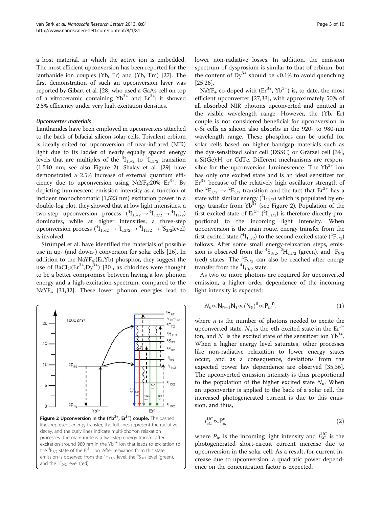<span id="page-2-0"></span>a host material, in which the active ion is embedded. The most efficient upconversion has been reported for the lanthanide ion couples (Yb, Er) and (Yb, Tm) [[27](#page-8-0)]. The first demonstration of such an upconversion layer was reported by Gibart et al. [\[28\]](#page-8-0) who used a GaAs cell on top of a vitroceramic containing  $Yb^{3+}$  and  $Er^{3+}$ : it showed 2.5% efficiency under very high excitation densities.

#### Upconverter materials

Lanthanides have been employed in upconverters attached to the back of bifacial silicon solar cells. Trivalent erbium is ideally suited for upconversion of near-infrared (NIR) light due to its ladder of nearly equally spaced energy levels that are multiples of the  ${}^{4}I_{15/2}$  to  ${}^{4}I_{13/2}$  transition (1,540 nm; see also Figure 2). Shalav et al. [\[29\]](#page-8-0) have demonstrated a 2.5% increase of external quantum efficiency due to upconversion using  $\text{NaYF}_4:20\% \text{ Er}^{3+}$ . By depicting luminescent emission intensity as a function of incident monochromatic (1,523 nm) excitation power in a double-log plot, they showed that at low light intensities, a two-step upconversion process  $(^{4}I_{15/2} \rightarrow ^{4}I_{13/2} \rightarrow ^{4}I_{11/2})$ dominates, while at higher intensities, a three-step upconversion process  $({}^{4}I_{15/2} \rightarrow {}^{4}I_{13/2} \rightarrow {}^{4}I_{11/2} \rightarrow {}^{4}S_{3/2}$ level) is involved.

Strümpel et al. have identified the materials of possible use in up- (and down-) conversion for solar cells [[26](#page-8-0)]. In addition to the  $\text{NaYF}_{4}$ :(Er,Yb) phosphor, they suggest the use of BaCl<sub>2</sub>:( $Er^{3+}$ , $Dy^{3+}$ ) [\[30](#page-8-0)], as chlorides were thought to be a better compromise between having a low phonon energy and a high-excitation spectrum, compared to the NaYF<sub>4</sub> [[31](#page-8-0),[32](#page-8-0)]. These lower phonon energies lead to



Figure 2 Upconversion in the  $(Yb^{3+}, Er^{3+})$  couple. The dashed lines represent energy transfer, the full lines represent the radiative decay, and the curly lines indicate multi-phonon relaxation processes. The main route is a two-step energy transfer after excitation around 980 nm in the Yb<sup>3+</sup> ion that leads to excitation to the  ${}^{4}F_{7/2}$  state of the Er<sup>3+</sup> ion. After relaxation from this state, emission is observed from the  ${}^{2}H_{11/2}$  level, the  ${}^{4}S_{3/2}$  level (green), and the  ${}^{4}F_{9/2}$  level (red).

lower non-radiative losses. In addition, the emission spectrum of dysprosium is similar to that of erbium, but the content of  $Dy^{3+}$  should be <0.1% to avoid quenching [[25,26\]](#page-8-0).

NaYF<sub>4</sub> co-doped with  $(Er^{3+}, Yb^{3+})$  is, to date, the most efficient upconverter [[27,33\]](#page-8-0), with approximately 50% of all absorbed NIR photons upconverted and emitted in the visible wavelength range. However, the (Yb, Er) couple is not considered beneficial for upconversion in c-Si cells as silicon also absorbs in the 920- to 980-nm wavelength range. These phosphors can be useful for solar cells based on higher bandgap materials such as the dye-sensitized solar cell (DSSC) or Grätzel cell [\[34](#page-8-0)], a-Si(Ge):H, or CdTe. Different mechanisms are responsible for the upconversion luminescence. The  $Yb^{3+}$  ion has only one excited state and is an ideal sensitizer for  $Er<sup>3+</sup>$  because of the relatively high oscillator strength of the <sup>2</sup>F<sub>7/2</sub>  $\rightarrow$  <sup>2</sup>F<sub>5/2</sub> transition and the fact that  $Er^{3+}$  has a state with similar energy  $(^{4}I_{11/2})$  which is populated by energy transfer from  $Yb^{3+}$  (see Figure 2). Population of the first excited state of  $Er^{3+}$  ( $^{4}I_{11/2}$ ) is therefore directly proportional to the incoming light intensity. When upconversion is the main route, energy transfer from the first excited state ( ${}^{4}I_{11/2}$ ) to the second excited state ( ${}^{4}F_{7/2}$ ) follows. After some small energy-relaxation steps, emission is observed from the  ${}^{4}S_{3/2}$ ,  ${}^{2}H_{11/2}$  (green), and  ${}^{4}F_{9/2}$ (red) states. The  ${}^{4}F_{9/2}$  can also be reached after energy transfer from the  ${}^{4}I_{13/2}$  state.

As two or more photons are required for upconverted emission, a higher order dependence of the incoming light intensity is expected:

$$
N_n \propto N_{n-1} N_s \propto (N_s)^n \propto P_{in}^{n}, \qquad (1)
$$

where  $n$  is the number of photons needed to excite the upconverted state.  $N_n$  is the *n*th excited state in the  $Er^{3+}$ ion, and  $N_s$  is the excited state of the sensitizer ion Yb<sup>3+</sup>. When a higher energy level saturates, other processes like non-radiative relaxation to lower energy states occur, and as a consequence, deviations from the expected power law dependence are observed [\[35,36](#page-8-0)]. The upconverted emission intensity is thus proportional to the population of the higher excited state  $N_n$ . When an upconverter is applied to the back of a solar cell, the increased photogenerated current is due to this emission, and thus,

$$
I_{\rm SC}^{\rm UC} \!\propto\! P_{in}^{\rm n} \tag{2}
$$

where  $P_{\text{in}}$  is the incoming light intensity and  $I_{\text{SC}}^{\text{UC}}$  is the photogenerated short-circuit current increase due to upconversion in the solar cell. As a result, for current increase due to upconversion, a quadratic power dependence on the concentration factor is expected.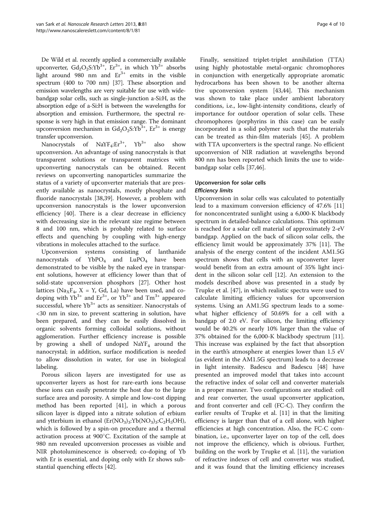De Wild et al. recently applied a commercially available upconverter,  $Gd_2O_2S:Yb^{3+}$ ,  $Er^{3+}$ , in which  $Yb^{3+}$  absorbs light around 980 nm and  $Er^{3+}$  emits in the visible spectrum (400 to 700 nm) [\[37\]](#page-9-0). These absorption and emission wavelengths are very suitable for use with widebandgap solar cells, such as single-junction a-Si:H, as the absorption edge of a-Si:H is between the wavelengths for absorption and emission. Furthermore, the spectral response is very high in that emission range. The dominant upconversion mechanism in  $Gd_2O_2S:Yb^{3+}$ ,  $Er^{3+}$  is energy transfer upconversion.

Nanocrystals of  $NaYF_4:Er^{3+}$ ,  $Yb^{3+}$  also show upconversion. An advantage of using nanocrystals is that transparent solutions or transparent matrices with upconverting nanocrystals can be obtained. Recent reviews on upconverting nanoparticles summarize the status of a variety of upconverter materials that are presently available as nanocrystals, mostly phosphate and fluoride nanocrystals [\[38,39\]](#page-9-0). However, a problem with upconversion nanocrystals is the lower upconversion efficiency [\[40](#page-9-0)]. There is a clear decrease in efficiency with decreasing size in the relevant size regime between 8 and 100 nm, which is probably related to surface effects and quenching by coupling with high-energy vibrations in molecules attached to the surface.

Upconversion systems consisting of lanthanide nanocrystals of  $YbPO<sub>4</sub>$  and  $LuPO<sub>4</sub>$  have been demonstrated to be visible by the naked eye in transparent solutions, however at efficiency lower than that of solid-state upconversion phosphors [[27\]](#page-8-0). Other host lattices ( $\text{Na}_{\text{x}}\text{F}_{4}$ , X = Y, Gd, La) have been used, and codoping with  $Yb^{3+}$  and  $Er^{3+}$ , or  $Yb^{3+}$  and  $Tm^{3+}$  appeared successful, where  $Yb^{3+}$  acts as sensitizer. Nanocrystals of <30 nm in size, to prevent scattering in solution, have been prepared, and they can be easily dissolved in organic solvents forming colloidal solutions, without agglomeration. Further efficiency increase is possible by growing a shell of undoped  $\text{NaYF}_4$  around the nanocrystal; in addition, surface modification is needed to allow dissolution in water, for use in biological labeling.

Porous silicon layers are investigated for use as upconverter layers as host for rare-earth ions because these ions can easily penetrate the host due to the large surface area and porosity. A simple and low-cost dipping method has been reported [[41\]](#page-9-0), in which a porous silicon layer is dipped into a nitrate solution of erbium and ytterbium in ethanol  $(Er(NO<sub>3</sub>)<sub>3</sub>:Yb(NO<sub>3</sub>)<sub>3</sub>:C<sub>2</sub>H<sub>5</sub>OH)$ , which is followed by a spin-on procedure and a thermal activation process at  $900^{\circ}$ C. Excitation of the sample at 980 nm revealed upconversion processes as visible and NIR photoluminescence is observed; co-doping of Yb with Er is essential, and doping only with Er shows substantial quenching effects [[42\]](#page-9-0).

Finally, sensitized triplet-triplet annihilation (TTA) using highly photostable metal-organic chromophores in conjunction with energetically appropriate aromatic hydrocarbons has been shown to be another alterna tive upconversion system [\[43,44\]](#page-9-0). This mechanism was shown to take place under ambient laboratory conditions, i.e., low-light-intensity conditions, clearly of importance for outdoor operation of solar cells. These chromophores (porphyrins in this case) can be easily incorporated in a solid polymer such that the materials can be treated as thin-film materials [\[45\]](#page-9-0). A problem with TTA upconverters is the spectral range. No efficient upconversion of NIR radiation at wavelengths beyond 800 nm has been reported which limits the use to widebandgap solar cells [\[37,46](#page-9-0)].

### Upconversion for solar cells Efficiency limits

Upconversion in solar cells was calculated to potentially lead to a maximum conversion efficiency of 47.6% [[11](#page-8-0)] for nonconcentrated sunlight using a 6,000-K blackbody spectrum in detailed-balance calculations. This optimum is reached for a solar cell material of approximately 2-eV bandgap. Applied on the back of silicon solar cells, the efficiency limit would be approximately 37% [[11](#page-8-0)]. The analysis of the energy content of the incident AM1.5G spectrum shows that cells with an upconverter layer would benefit from an extra amount of 35% light incident in the silicon solar cell [\[12](#page-8-0)]. An extension to the models described above was presented in a study by Trupke et al. [\[47](#page-9-0)], in which realistic spectra were used to calculate limiting efficiency values for upconversion systems. Using an AM1.5G spectrum leads to a somewhat higher efficiency of 50.69% for a cell with a bandgap of 2.0 eV. For silicon, the limiting efficiency would be 40.2% or nearly 10% larger than the value of 37% obtained for the 6,000-K blackbody spectrum [\[11](#page-8-0)]. This increase was explained by the fact that absorption in the earth's atmosphere at energies lower than 1.5 eV (as evident in the AM1.5G spectrum) leads to a decrease in light intensity. Badescu and Badescu [\[48](#page-9-0)] have presented an improved model that takes into account the refractive index of solar cell and converter materials in a proper manner. Two configurations are studied: cell and rear converter, the usual upconverter application, and front converter and cell (FC-C). They confirm the earlier results of Trupke et al. [\[11](#page-8-0)] in that the limiting efficiency is larger than that of a cell alone, with higher efficiencies at high concentration. Also, the FC-C combination, i.e., upconverter layer on top of the cell, does not improve the efficiency, which is obvious. Further, building on the work by Trupke et al. [\[11\]](#page-8-0), the variation of refractive indexes of cell and converter was studied, and it was found that the limiting efficiency increases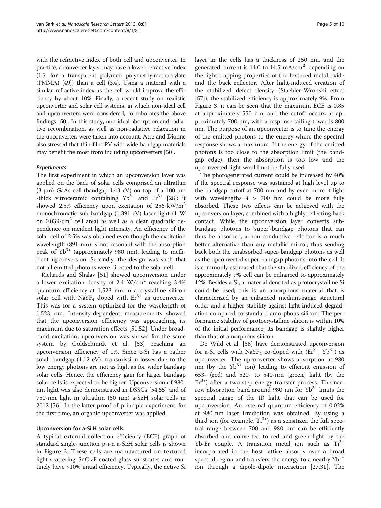with the refractive index of both cell and upconverter. In practice, a converter layer may have a lower refractive index (1.5, for a transparent polymer: polymethylmethacrylate (PMMA) [\[49\]](#page-9-0)) than a cell (3.4). Using a material with a similar refractive index as the cell would improve the efficiency by about 10%. Finally, a recent study on realistic upconverter and solar cell systems, in which non-ideal cell and upconverters were considered, corroborates the above findings [[50](#page-9-0)]. In this study, non-ideal absorption and radiative recombination, as well as non-radiative relaxation in the upconverter, were taken into account. Atre and Dionne also stressed that thin-film PV with wide-bandgap materials may benefit the most from including upconverters [\[50\]](#page-9-0).

### Experiments

The first experiment in which an upconversion layer was applied on the back of solar cells comprised an ultrathin (3 μm) GaAs cell (bandgap 1.43 eV) on top of a 100-μm -thick vitroceramic containing  $Yb^{3+}$  and  $Er^{3+}$  [[28](#page-8-0)]: it showed 2.5% efficiency upon excitation of 256-kW/m<sup>2</sup> monochromatic sub-bandgap (1.391 eV) laser light (1 W on  $0.039$ -cm<sup>2</sup> cell area) as well as a clear quadratic dependence on incident light intensity. An efficiency of the solar cell of 2.5% was obtained even though the excitation wavelength (891 nm) is not resonant with the absorption peak of  $Yb^{3+}$  (approximately 980 nm), leading to inefficient upconversion. Secondly, the design was such that not all emitted photons were directed to the solar cell.

Richards and Shalav [\[51\]](#page-9-0) showed upconversion under a lower excitation density of 2.4  $W/cm<sup>2</sup>$  reaching 3.4% quantum efficiency at 1,523 nm in a crystalline silicon solar cell with NaYF<sub>4</sub> doped with  $Er^{3+}$  as upconverter. This was for a system optimized for the wavelength of 1,523 nm. Intensity-dependent measurements showed that the upconversion efficiency was approaching its maximum due to saturation effects [\[51,52\]](#page-9-0). Under broadband excitation, upconversion was shown for the same system by Goldschmidt et al. [[53\]](#page-9-0) reaching an upconversion efficiency of 1%. Since c-Si has a rather small bandgap (1.12 eV), transmission losses due to the low energy photons are not as high as for wider bandgap solar cells. Hence, the efficiency gain for larger bandgap solar cells is expected to be higher. Upconversion of 980 nm light was also demonstrated in DSSCs [\[54,55](#page-9-0)] and of 750-nm light in ultrathin (50 nm) a-Si:H solar cells in 2012 [\[56](#page-9-0)]. In the latter proof-of-principle experiment, for the first time, an organic upconverter was applied.

#### Upconversion for a-Si:H solar cells

A typical external collection efficiency (ECE) graph of standard single-junction p-i-n a-Si:H solar cells is shown in Figure [3.](#page-5-0) These cells are manufactured on textured light-scattering  $SnO<sub>2</sub>:F-coated glass substrates and rou$ tinely have >10% initial efficiency. Typically, the active Si layer in the cells has a thickness of 250 nm, and the generated current is 14.0 to 14.5 mA/cm<sup>2</sup>, depending on the light-trapping properties of the textured metal oxide and the back reflector. After light-induced creation of the stabilized defect density (Staebler-Wronski effect [[57\]](#page-9-0)), the stabilized efficiency is approximately 9%. From Figure [3](#page-5-0), it can be seen that the maximum ECE is 0.85 at approximately 550 nm, and the cutoff occurs at approximately 700 nm, with a response tailing towards 800 nm. The purpose of an upconverter is to tune the energy of the emitted photons to the energy where the spectral response shows a maximum. If the energy of the emitted photons is too close to the absorption limit (the bandgap edge), then the absorption is too low and the upconverted light would not be fully used.

The photogenerated current could be increased by 40% if the spectral response was sustained at high level up to the bandgap cutoff at 700 nm and by even more if light with wavelengths  $\lambda$  > 700 nm could be more fully absorbed. These two effects can be achieved with the upconversion layer, combined with a highly reflecting back contact. While the upconversion layer converts subbandgap photons to 'super'-bandgap photons that can thus be absorbed, a non-conductive reflector is a much better alternative than any metallic mirror, thus sending back both the unabsorbed super-bandgap photons as well as the upconverted super-bandgap photons into the cell. It is commonly estimated that the stabilized efficiency of the approximately 9% cell can be enhanced to approximately 12%. Besides a-Si, a material denoted as protocrystalline Si could be used; this is an amorphous material that is characterized by an enhanced medium-range structural order and a higher stability against light-induced degradation compared to standard amorphous silicon. The performance stability of protocrystalline silicon is within 10% of the initial performance; its bandgap is slightly higher than that of amorphous silicon.

De Wild et al. [\[58](#page-9-0)] have demonstrated upconversion for a-Si cells with NaYF<sub>4</sub> co-doped with  $(Er^{3+}, Yb^{3+})$  as upconverter. The upconverter shows absorption at 980 nm (by the  $Yb^{3+}$  ion) leading to efficient emission of 653- (red) and 520- to 540-nm (green) light (by the  $Er<sup>3+</sup>$ ) after a two-step energy transfer process. The narrow absorption band around 980 nm for  $Yb^{3+}$  limits the spectral range of the IR light that can be used for upconversion. An external quantum efficiency of 0.02% at 980-nm laser irradiation was obtained. By using a third ion (for example,  $Ti^{3+}$ ) as a sensitizer, the full spectral range between 700 and 980 nm can be efficiently absorbed and converted to red and green light by the Yb-Er couple. A transition metal ion such as  $Ti^{3+}$ incorporated in the host lattice absorbs over a broad spectral region and transfers the energy to a nearby  $Yb^{3+}$ ion through a dipole-dipole interaction [[27,31\]](#page-8-0). The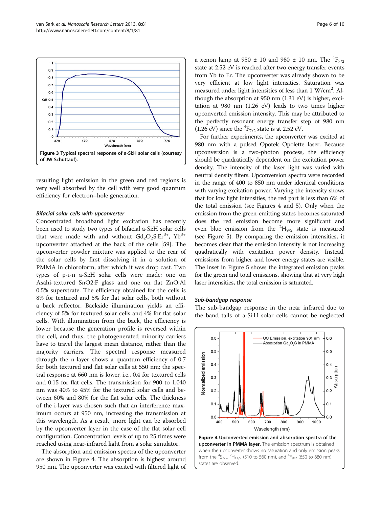<span id="page-5-0"></span>

resulting light emission in the green and red regions is very well absorbed by the cell with very good quantum efficiency for electron–hole generation.

#### Bifacial solar cells with upconverter

Concentrated broadband light excitation has recently been used to study two types of bifacial a-Si:H solar cells that were made with and without  $Gd_2O_2S:Er^{3+}$ ,  $Yb^{3+}$ upconverter attached at the back of the cells [\[59\]](#page-9-0). The upconverter powder mixture was applied to the rear of the solar cells by first dissolving it in a solution of PMMA in chloroform, after which it was drop cast. Two types of p-i-n a-Si:H solar cells were made: one on Asahi-textured SnO2:F glass and one on flat ZnO:Al 0.5% superstrate. The efficiency obtained for the cells is 8% for textured and 5% for flat solar cells, both without a back reflector. Backside illumination yields an efficiency of 5% for textured solar cells and 4% for flat solar cells. With illumination from the back, the efficiency is lower because the generation profile is reversed within the cell, and thus, the photogenerated minority carriers have to travel the largest mean distance, rather than the majority carriers. The spectral response measured through the n-layer shows a quantum efficiency of 0.7 for both textured and flat solar cells at 550 nm; the spectral response at 660 nm is lower, i.e., 0.4 for textured cells and 0.15 for flat cells. The transmission for 900 to 1,040 nm was 40% to 45% for the textured solar cells and between 60% and 80% for the flat solar cells. The thickness of the i-layer was chosen such that an interference maximum occurs at 950 nm, increasing the transmission at this wavelength. As a result, more light can be absorbed by the upconverter layer in the case of the flat solar cell configuration. Concentration levels of up to 25 times were reached using near-infrared light from a solar simulator.

The absorption and emission spectra of the upconverter are shown in Figure 4. The absorption is highest around 950 nm. The upconverter was excited with filtered light of

a xenon lamp at 950  $\pm$  10 and 980  $\pm$  10 nm. The  ${}^{4}F_{7/2}$ state at 2.52 eV is reached after two energy transfer events from Yb to Er. The upconverter was already shown to be very efficient at low light intensities. Saturation was measured under light intensities of less than 1 W/cm<sup>2</sup>. Although the absorption at 950 nm (1.31 eV) is higher, excitation at 980 nm (1.26 eV) leads to two times higher upconverted emission intensity. This may be attributed to the perfectly resonant energy transfer step of 980 nm (1.26 eV) since the  ${}^{4}F_{7/2}$  state is at 2.52 eV.

For further experiments, the upconverter was excited at 980 nm with a pulsed Opotek Opolette laser. Because upconversion is a two-photon process, the efficiency should be quadratically dependent on the excitation power density. The intensity of the laser light was varied with neutral density filters. Upconversion spectra were recorded in the range of 400 to 850 nm under identical conditions with varying excitation power. Varying the intensity shows that for low light intensities, the red part is less than 6% of the total emission (see Figures 4 and [5](#page-6-0)). Only when the emission from the green-emitting states becomes saturated does the red emission become more significant and even blue emission from the  ${}^{2}H_{9/2}$  state is measured (see Figure [5\)](#page-6-0). By comparing the emission intensities, it becomes clear that the emission intensity is not increasing quadratically with excitation power density. Instead, emissions from higher and lower energy states are visible. The inset in Figure [5](#page-6-0) shows the integrated emission peaks for the green and total emissions, showing that at very high laser intensities, the total emission is saturated.

#### Sub-bandgap response

The sub-bandgap response in the near infrared due to the band tails of a-Si:H solar cells cannot be neglected

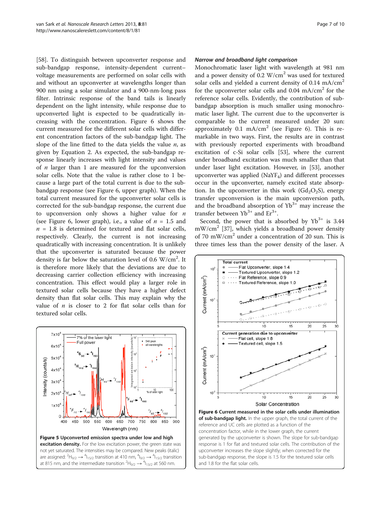<span id="page-6-0"></span>[[58\]](#page-9-0). To distinguish between upconverter response and sub-bandgap response, intensity-dependent current– voltage measurements are performed on solar cells with and without an upconverter at wavelengths longer than 900 nm using a solar simulator and a 900-nm-long pass filter. Intrinsic response of the band tails is linearly dependent on the light intensity, while response due to upconverted light is expected to be quadratically increasing with the concentration. Figure 6 shows the current measured for the different solar cells with different concentration factors of the sub-bandgap light. The slope of the line fitted to the data yields the value  $n$ , as given by Equation 2. As expected, the sub-bandgap response linearly increases with light intensity and values of  $n$  larger than 1 are measured for the upconversion solar cells. Note that the value is rather close to 1 because a large part of the total current is due to the subbandgap response (see Figure 6, upper graph). When the total current measured for the upconverter solar cells is corrected for the sub-bandgap response, the current due to upconversion only shows a higher value for  $n$ (see Figure 6, lower graph), i.e., a value of  $n = 1.5$  and  $n = 1.8$  is determined for textured and flat solar cells, respectively. Clearly, the current is not increasing quadratically with increasing concentration. It is unlikely that the upconverter is saturated because the power density is far below the saturation level of 0.6  $\text{W/cm}^2$ . It is therefore more likely that the deviations are due to decreasing carrier collection efficiency with increasing concentration. This effect would play a larger role in textured solar cells because they have a higher defect density than flat solar cells. This may explain why the value of  $n$  is closer to 2 for flat solar cells than for textured solar cells.



#### Narrow and broadband light comparison

Monochromatic laser light with wavelength at 981 nm and a power density of 0.2  $W/cm<sup>2</sup>$  was used for textured solar cells and yielded a current density of 0.14 mA/ $cm<sup>2</sup>$ for the upconverter solar cells and  $0.04 \text{ mA/cm}^2$  for the reference solar cells. Evidently, the contribution of subbandgap absorption is much smaller using monochromatic laser light. The current due to the upconverter is comparable to the current measured under 20 sun: approximately 0.1 mA/ $cm<sup>2</sup>$  (see Figure 6). This is remarkable in two ways. First, the results are in contrast with previously reported experiments with broadband excitation of c-Si solar cells [[53\]](#page-9-0), where the current under broadband excitation was much smaller than that under laser light excitation. However, in [[53\]](#page-9-0), another upconverter was applied  $(NaYF_4)$  and different processes occur in the upconverter, namely excited state absorption. In the upconverter in this work  $(\text{Gd}_2\text{O}_2\text{S})$ , energy transfer upconversion is the main upconversion path, and the broadband absorption of  $Yb^{3+}$  may increase the transfer between  $Yb^{3+}$  and  $Er^{3+}$ .

Second, the power that is absorbed by  $Yb^{3+}$  is 3.44  $mW/cm<sup>2</sup>$  [[37\]](#page-9-0), which yields a broadband power density of 70 mW/cm<sup>2</sup> under a concentration of 20 sun. This is three times less than the power density of the laser. A

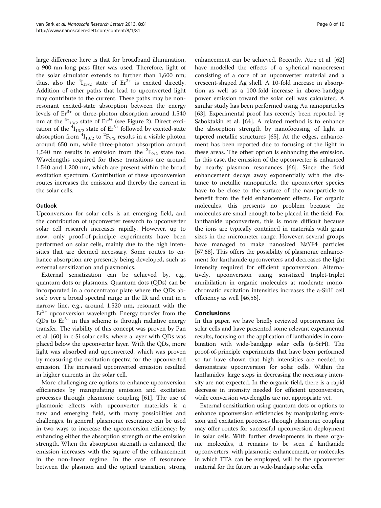large difference here is that for broadband illumination, a 900-nm-long pass filter was used. Therefore, light of the solar simulator extends to further than 1,600 nm; thus, also the  ${}^{4}I_{13/2}$  state of  $Er^{3+}$  is excited directly. Addition of other paths that lead to upconverted light may contribute to the current. These paths may be nonresonant excited-state absorption between the energy levels of  $Er^{3+}$  or three-photon absorption around 1,540 nm at the  $\mathrm{^{4}I_{13/2}}$  state of  $\mathrm{Er}^{3+}$  (see Figure [2](#page-2-0)). Direct excitation of the  ${}^{4}I_{13/2}$  state of  $Er^{3+}$  followed by excited-state absorption from  ${}^{4} \mathrm{I}_{13/2}$  to  ${}^{2} \mathrm{F}_{9/2}$  results in a visible photon around 650 nm, while three-photon absorption around 1,540 nm results in emission from the  ${}^{2}F_{9/2}$  state too. Wavelengths required for these transitions are around 1,540 and 1,200 nm, which are present within the broad excitation spectrum. Contribution of these upconversion routes increases the emission and thereby the current in the solar cells.

#### **Outlook**

Upconversion for solar cells is an emerging field, and the contribution of upconverter research to upconverter solar cell research increases rapidly. However, up to now, only proof-of-principle experiments have been performed on solar cells, mainly due to the high intensities that are deemed necessary. Some routes to enhance absorption are presently being developed, such as external sensitization and plasmonics.

External sensitization can be achieved by, e.g., quantum dots or plasmons. Quantum dots (QDs) can be incorporated in a concentrator plate where the QDs absorb over a broad spectral range in the IR and emit in a narrow line, e.g., around 1,520 nm, resonant with the  $Er<sup>3+</sup>$  upconversion wavelength. Energy transfer from the QDs to  $Er^{3+}$  in this scheme is through radiative energy transfer. The viability of this concept was proven by Pan et al. [[60\]](#page-9-0) in c-Si solar cells, where a layer with QDs was placed below the upconverter layer. With the QDs, more light was absorbed and upconverted, which was proven by measuring the excitation spectra for the upconverted emission. The increased upconverted emission resulted in higher currents in the solar cell.

More challenging are options to enhance upconversion efficiencies by manipulating emission and excitation processes through plasmonic coupling [[61\]](#page-9-0). The use of plasmonic effects with upconverter materials is a new and emerging field, with many possibilities and challenges. In general, plasmonic resonance can be used in two ways to increase the upconversion efficiency: by enhancing either the absorption strength or the emission strength. When the absorption strength is enhanced, the emission increases with the square of the enhancement in the non-linear regime. In the case of resonance between the plasmon and the optical transition, strong

enhancement can be achieved. Recently, Atre et al. [[62](#page-9-0)] have modelled the effects of a spherical nanocresent consisting of a core of an upconverter material and a crescent-shaped Ag shell. A 10-fold increase in absorption as well as a 100-fold increase in above-bandgap power emission toward the solar cell was calculated. A similar study has been performed using Au nanoparticles [[63\]](#page-9-0). Experimental proof has recently been reported by Saboktakin et al. [[64](#page-9-0)]. A related method is to enhance the absorption strength by nanofocusing of light in tapered metallic structures [[65\]](#page-9-0). At the edges, enhancement has been reported due to focusing of the light in these areas. The other option is enhancing the emission. In this case, the emission of the upconverter is enhanced by nearby plasmon resonances [\[66\]](#page-9-0). Since the field enhancement decays away exponentially with the distance to metallic nanoparticle, the upconverter species have to be close to the surface of the nanoparticle to benefit from the field enhancement effects. For organic molecules, this presents no problem because the molecules are small enough to be placed in the field. For lanthanide upconverters, this is more difficult because the ions are typically contained in materials with grain sizes in the micrometer range. However, several groups have managed to make nanosized NaYF4 particles [[67,68\]](#page-9-0). This offers the possibility of plasmonic enhancement for lanthanide upconverters and decreases the light intensity required for efficient upconversion. Alternatively, upconversion using sensitized triplet-triplet annihilation in organic molecules at moderate monochromatic excitation intensities increases the a-Si:H cell efficiency as well [[46](#page-9-0),[56](#page-9-0)].

In this paper, we have briefly reviewed upconversion for solar cells and have presented some relevant experimental results, focusing on the application of lanthanides in combination with wide-bandgap solar cells (a-Si:H). The proof-of-principle experiments that have been performed so far have shown that high intensities are needed to demonstrate upconversion for solar cells. Within the lanthanides, large steps in decreasing the necessary intensity are not expected. In the organic field, there is a rapid decrease in intensity needed for efficient upconversion, while conversion wavelengths are not appropriate yet.

External sensitization using quantum dots or options to enhance upconversion efficiencies by manipulating emission and excitation processes through plasmonic coupling may offer routes for successful upconversion deployment in solar cells. With further developments in these organic molecules, it remains to be seen if lanthanide upconverters, with plasmonic enhancement, or molecules in which TTA can be employed, will be the upconverter material for the future in wide-bandgap solar cells.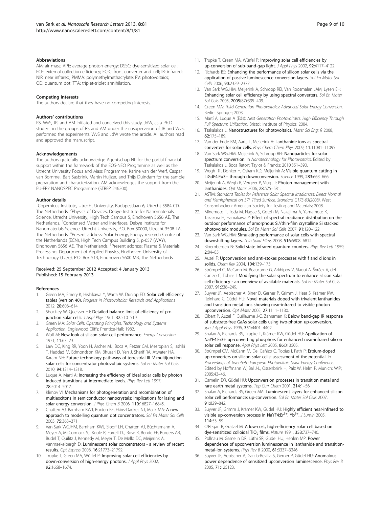#### <span id="page-8-0"></span>Abbreviations

AM: air mass; APE: average photon energy; DSSC: dye-sensitized solar cell; ECE: external collection efficiency; FC-C: front converter and cell; IR: infrared; NIR: near infrared; PMMA: polymethylmethacrylate; PV: photovoltaics; QD: quantum dot; TTA: triplet-triplet annihilation.

#### Competing interests

The authors declare that they have no competing interests.

#### Authors' contributions

RS, WvS, JR, and AM initiated and conceived this study. JdW, as a Ph.D. student in the groups of RS and AM under the cosupervision of JR and WvS, performed the experiments. WvS and JdW wrote the article. All authors read and approved the manuscript.

#### Acknowledgements

The authors gratefully acknowledge Agentschap NL for the partial financial support within the framework of the EOS-NEO Programme as well as the Utrecht University Focus and Mass Programme, Karine van der Werf, Caspar van Bommel, Bart Sasbrink, Martin Huijzer, and Thijs Duindam for the sample preparation and characterization. AM acknowledges the support from the EU-FP7 NANOSPEC Programme (STREP 246200).

#### Author details

<sup>1</sup>Copernicus Institute, Utrecht University, Budapestlaan 6, Utrecht 3584 CD, The Netherlands. <sup>2</sup>Physics of Devices, Debye Institute for Nanomaterials Science, Utrecht University, High Tech Campus 5, Eindhoven 5656 AE, The Netherlands. <sup>3</sup>Condensed Matter and Interfaces, Debye Institute for Nanomaterials Science, Utrecht University, P.O. Box 80000, Utrecht 3508 TA, The Netherlands. <sup>4</sup>Present address: Solar Energy, Energy research Centre of the Netherlands (ECN), High Tech Campus Building 5, p-057 (WAY), Eindhoven 5656 AE, The Netherlands. <sup>5</sup>Present address: Plasma & Materials Processing, Department of Applied Physics, Eindhoven University of Technology (TU/e), P.O. Box 513, Eindhoven 5600 MB, The Netherlands.

#### Received: 25 September 2012 Accepted: 4 January 2013 Published: 15 February 2013

#### References

- Green MA, Emery K, Hishikawa Y, Warta W, Dunlop ED: Solar cell efficiency tables (version 40). Progress in Photovoltaics: Research and Applications 2012, 20:606–614.
- 2. Shockley W, Queisser HJ: Detailed balance limit of efficiency of p-n junction solar cells. J Appl Phys 1961, 32:510-519.
- 3. Green MA: Solar Cells: Operating Principles, Technology and Systems Application. Englewood Cliffs: Prentice-Hall; 1982.
- 4. Wolf M: New look at silicon solar cell performance. Energy Conversion 1971, 11:63–73.
- 5. Law DC, King RR, Yoon H, Archer MJ, Boca A, Fetzer CM, Mesropian S, Isshiki T, Haddad M, Edmondson KM, Bhusari D, Yen J, Sherif RA, Atwater HA, Karam NH: Future technology pathways of terrestrial III–V multijunction solar cells for concentrator photovoltaic systems. Sol En Mater Sol Cells 2010, 94:1314–1318.
- 6. Luque A, Marti A: Increasing the efficiency of ideal solar cells by photon induced transitions at intermediate levels. Phys Rev Lett 1997, 78:5014–5017.
- 7. Klimov VI: Mechanisms for photogeneration and recombination of multiexcitons in semiconductor nanocrystals: implications for lasing and solar energy conversion. J Phys Chem B 2006, 110:16827-16845
- Chatten AJ, Barnham KWJ, Buxton BF, Ekins-Daukes NJ, Malik MA: A new approach to modelling quantum dot concentrators. Sol En Mater Sol Cells 2003, 75:363–371.
- 9. Van Sark WGJHM, Barnham KWJ, Slooff LH, Chatten AJ, Büchtemann A, Meyer A, McCormack SJ, Koole R, Farrell DJ, Bose R, Bende EE, Burgers AR, Budel T, Quilitz J, Kennedy M, Meyer T, De Mello DC, Meijerink A, Vanmaekelbergh D: Luminescent solar concentrators - a review of recent results. Opt Express 2008, 16:21773–21792.
- 10. Trupke T, Green MA, Würfel P: Improving solar cell efficiencies by down-conversion of high-energy photons. J Appl Phys 2002, 92:1668–1674.
- 11. Trupke T, Green MA, Würfel P: Improving solar cell efficiencies by up-conversion of sub-band-gap light. J Appl Phys 2002, 92:4117-4122.
- 12. Richards BS: Enhancing the performance of silicon solar cells via the application of passive luminescence conversion layers. Sol En Mater Sol Cells 2006, 90:2329–2337.
- 13. Van Sark WGJHM, Meijerink A, Schropp REI, Van Roosmalen JAM, Lysen EH: Enhancing solar cell efficiency by using spectral converters. Sol En Mater Sol Cells 2005, 2005(87):395–409.
- 14. Green MA: Third Generation Photovoltaics: Advanced Solar Energy Conversion. Berlin: Springer; 2003.
- 15. Martí A, Luque A (Eds): Next Generation Photovoltaics: High Efficiency Through Full Spectrum Utilization. Bristol: Institute of Physics; 2004.
- 16. Tsakalakos L: Nanostructures for photovoltaics. Mater Sci Eng: R 2008, 62:175–189.
- 17. Van der Ende BM, Aarts L, Meijerink A: Lanthanide ions as spectral converters for solar cells. Phys Chem Chem Phys 2009, 11:11081–11095.
- 18. Van Sark WGJHM, Meijerink A, Schropp REI: Nanoparticles for solar spectrum conversion. In Nanotechnology for Photovoltaics. Edited by Tsakalakos L. Boca Raton: Taylor & Francis; 2010:351–390.
- 19. Wegh RT, Donker H, Oskam KD, Meijerink A: Visible quantum cutting in LiGdF4:Eu3+ through downconversion. Science 1999, 283:663–666.
- 20. Meijerink A, Wegh R, Vergeer P, Vlugt T: Photon management with lanthanides. Opt Mater 2006, 28:575–581.
- 21. ASTM: Standard Tables for Reference Solar Spectral Irradiances: Direct Normal and Hemispherical on 37° Tilted Surface, Standard G173-03(2008). West Conshohocken: American Society for Testing and Materials; 2008.
- 22. Minemoto T, Toda M, Nagae S, Gotoh M, Nakajima A, Yamamoto K, Takakura H, Hamakawa Y: Effect of spectral irradiance distribution on the outdoor performance of amorphous Si//thin-film crystalline Si stacked photovoltaic modules. Sol En Mater Sol Cells 2007, 91:120–122.
- 23. Van Sark WGJHM: Simulating performance of solar cells with spectral downshifting layers. Thin Solid Films 2008, 516:6808–6812.
- 24. Bloembergen N: Solid state infrared quantum counters. Phys Rev Lett 1959, 2:84–85.
- 25. Auzel F: Upconversion and anti-stokes processes with f and d ions in solids. Chem Rev 2004, 104:139–173.
- 26. Strümpel C, McCann M, Beaucarne G, Arkhipov V, Slaoui A, Švrček V, del Cañizo C, Tobias I: Modifying the solar spectrum to enhance silicon solar cell efficiency - an overview of available materials. Sol En Mater Sol Cells 2007, 91:238–249.
- 27. Suyver JF, Aebischer A, Biner D, Gerner P, Grimm J, Heer S, Krämer KW, Reinhard C, Güdel HU: Novel materials doped with trivalent lanthanides and transition metal ions showing near-infrared to visible photon upconversion. Opt Mater 2005, 27:1111–1130.
- 28. Gibart P, Auzel F, Guillaume J-C, Zahraman K: Below band-gap IR response of substrate-free GaAs solar cells using two-photon up-conversion. Jpn J Appl Phys 1996, 351:4401-4402.
- 29. Shalav A, Richards BS, Trupke T, Krämer KW, Güdel HU: Application of NaYF4:Er3+ up-converting phosphors for enhanced near-infrared silicon solar cell response. Appl Phys Lett 2005, 86:013505
- 30. Strümpel CM, McCann M, Del Cañizo C, Tobias I, Fath P: Erbium-doped up-converters on silicon solar cells: assessment of the potential. In Proceedings of Twentieth European Photovoltaic Solar Energy Conference. Edited by Hoffmann W, Bal J-L, Ossenbrink H, Palz W, Helm P. Munich: WIP; 2005:43–46.
- 31. Gamelin DR, Güdel HU: Upconversion processes in transition metal and rare earth metal systems. Top Curr Chem 2001, 214:1-56.
- 32. Shalav A, Richards BS, Green MA: Luminescent layers for enhanced silicon solar cell performance: up-conversion. Sol En Mater Sol Cells 2007, 91:829–842.
- 33. Suyver JF, Grimm J, Krämer KW, Güdel HU: Highly efficient near-infrared to visible up-conversion process in NaYF4:E $r^{3+}$ , Yb $^{3+}$ . J Lumin 2005, 114:53–59.
- 34. O'Regan B, Grätzel M: A low-cost, high-efficiency solar cell based on dye-sensitized colloidal TiO<sub>2</sub> films. Nature 1991, 353:737-740.
- 35. Pollnau M, Gamelin DR, Lüthi SR, Güdel HU, Hehlen MP: Power dependence of upconversion luminescence in lanthanide and transitionmetal-ion systems. Phys Rev B 2000, 61:3337–3346.
- 36. Suyver JF, Aebischer A, García-Revilla S, Gerner P, Güdel HU: Anomalous power dependence of sensitized upconversion luminescence. Phys Rev B 2005, 71:125123.